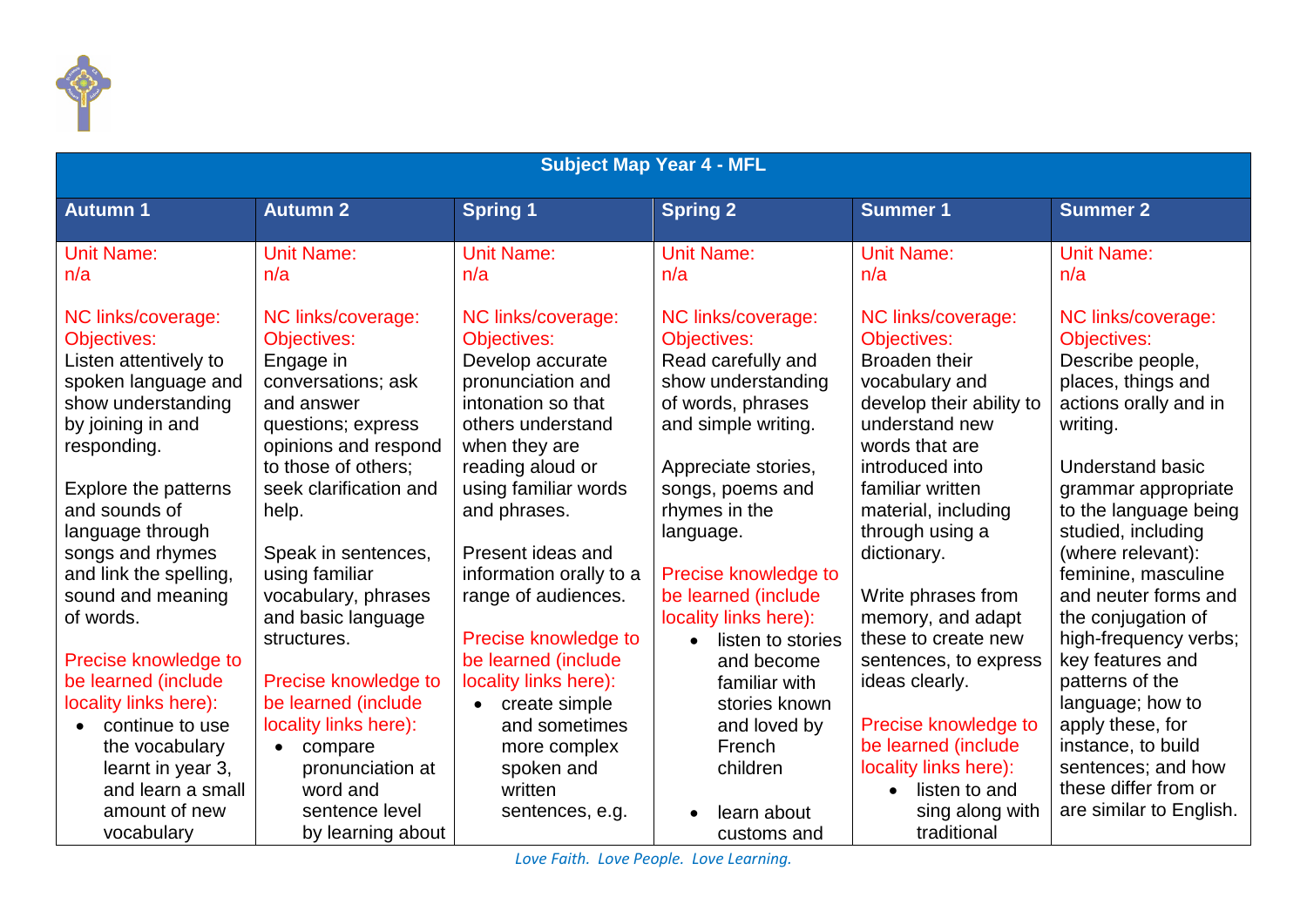

| <b>Subject Map Year 4 - MFL</b>                                                                                                                                                                                                                                                    |                                                                                                                                                                                                                                                            |                                                                                                                                                                                                                                                                                  |                                                                                                                                                                                                                                                          |                                                                                                                                                                                                                                                                   |                                                                                                                                                                                                                                                                                              |  |  |
|------------------------------------------------------------------------------------------------------------------------------------------------------------------------------------------------------------------------------------------------------------------------------------|------------------------------------------------------------------------------------------------------------------------------------------------------------------------------------------------------------------------------------------------------------|----------------------------------------------------------------------------------------------------------------------------------------------------------------------------------------------------------------------------------------------------------------------------------|----------------------------------------------------------------------------------------------------------------------------------------------------------------------------------------------------------------------------------------------------------|-------------------------------------------------------------------------------------------------------------------------------------------------------------------------------------------------------------------------------------------------------------------|----------------------------------------------------------------------------------------------------------------------------------------------------------------------------------------------------------------------------------------------------------------------------------------------|--|--|
| <b>Autumn 1</b>                                                                                                                                                                                                                                                                    | <b>Autumn 2</b>                                                                                                                                                                                                                                            | <b>Spring 1</b>                                                                                                                                                                                                                                                                  | <b>Spring 2</b>                                                                                                                                                                                                                                          | <b>Summer 1</b>                                                                                                                                                                                                                                                   | <b>Summer 2</b>                                                                                                                                                                                                                                                                              |  |  |
| <b>Unit Name:</b><br>n/a                                                                                                                                                                                                                                                           | <b>Unit Name:</b><br>n/a                                                                                                                                                                                                                                   | <b>Unit Name:</b><br>n/a                                                                                                                                                                                                                                                         | <b>Unit Name:</b><br>n/a                                                                                                                                                                                                                                 | <b>Unit Name:</b><br>n/a                                                                                                                                                                                                                                          | <b>Unit Name:</b><br>n/a                                                                                                                                                                                                                                                                     |  |  |
| NC links/coverage:<br><b>Objectives:</b><br>Listen attentively to<br>spoken language and<br>show understanding<br>by joining in and<br>responding.<br>Explore the patterns<br>and sounds of<br>language through<br>songs and rhymes<br>and link the spelling,<br>sound and meaning | NC links/coverage:<br>Objectives:<br>Engage in<br>conversations; ask<br>and answer<br>questions; express<br>opinions and respond<br>to those of others;<br>seek clarification and<br>help.<br>Speak in sentences,<br>using familiar<br>vocabulary, phrases | NC links/coverage:<br><b>Objectives:</b><br>Develop accurate<br>pronunciation and<br>intonation so that<br>others understand<br>when they are<br>reading aloud or<br>using familiar words<br>and phrases.<br>Present ideas and<br>information orally to a<br>range of audiences. | NC links/coverage:<br><b>Objectives:</b><br>Read carefully and<br>show understanding<br>of words, phrases<br>and simple writing.<br>Appreciate stories,<br>songs, poems and<br>rhymes in the<br>language.<br>Precise knowledge to<br>be learned (include | NC links/coverage:<br><b>Objectives:</b><br>Broaden their<br>vocabulary and<br>develop their ability to<br>understand new<br>words that are<br>introduced into<br>familiar written<br>material, including<br>through using a<br>dictionary.<br>Write phrases from | NC links/coverage:<br><b>Objectives:</b><br>Describe people,<br>places, things and<br>actions orally and in<br>writing.<br><b>Understand basic</b><br>grammar appropriate<br>to the language being<br>studied, including<br>(where relevant):<br>feminine, masculine<br>and neuter forms and |  |  |
| of words.<br>Precise knowledge to<br>be learned (include                                                                                                                                                                                                                           | and basic language<br>structures.<br>Precise knowledge to                                                                                                                                                                                                  | Precise knowledge to<br>be learned (include<br>locality links here):                                                                                                                                                                                                             | locality links here):<br>listen to stories<br>$\bullet$<br>and become<br>familiar with                                                                                                                                                                   | memory, and adapt<br>these to create new<br>sentences, to express<br>ideas clearly.                                                                                                                                                                               | the conjugation of<br>high-frequency verbs;<br>key features and<br>patterns of the                                                                                                                                                                                                           |  |  |
| locality links here):<br>continue to use<br>the vocabulary<br>learnt in year 3,<br>and learn a small<br>amount of new<br>vocabulary                                                                                                                                                | be learned (include<br>locality links here):<br>compare<br>$\bullet$<br>pronunciation at<br>word and<br>sentence level<br>by learning about                                                                                                                | create simple<br>$\bullet$<br>and sometimes<br>more complex<br>spoken and<br>written<br>sentences, e.g.                                                                                                                                                                          | stories known<br>and loved by<br>French<br>children<br>learn about<br>customs and                                                                                                                                                                        | Precise knowledge to<br>be learned (include<br>locality links here):<br>listen to and<br>$\bullet$<br>sing along with<br>traditional                                                                                                                              | language; how to<br>apply these, for<br>instance, to build<br>sentences; and how<br>these differ from or<br>are similar to English.                                                                                                                                                          |  |  |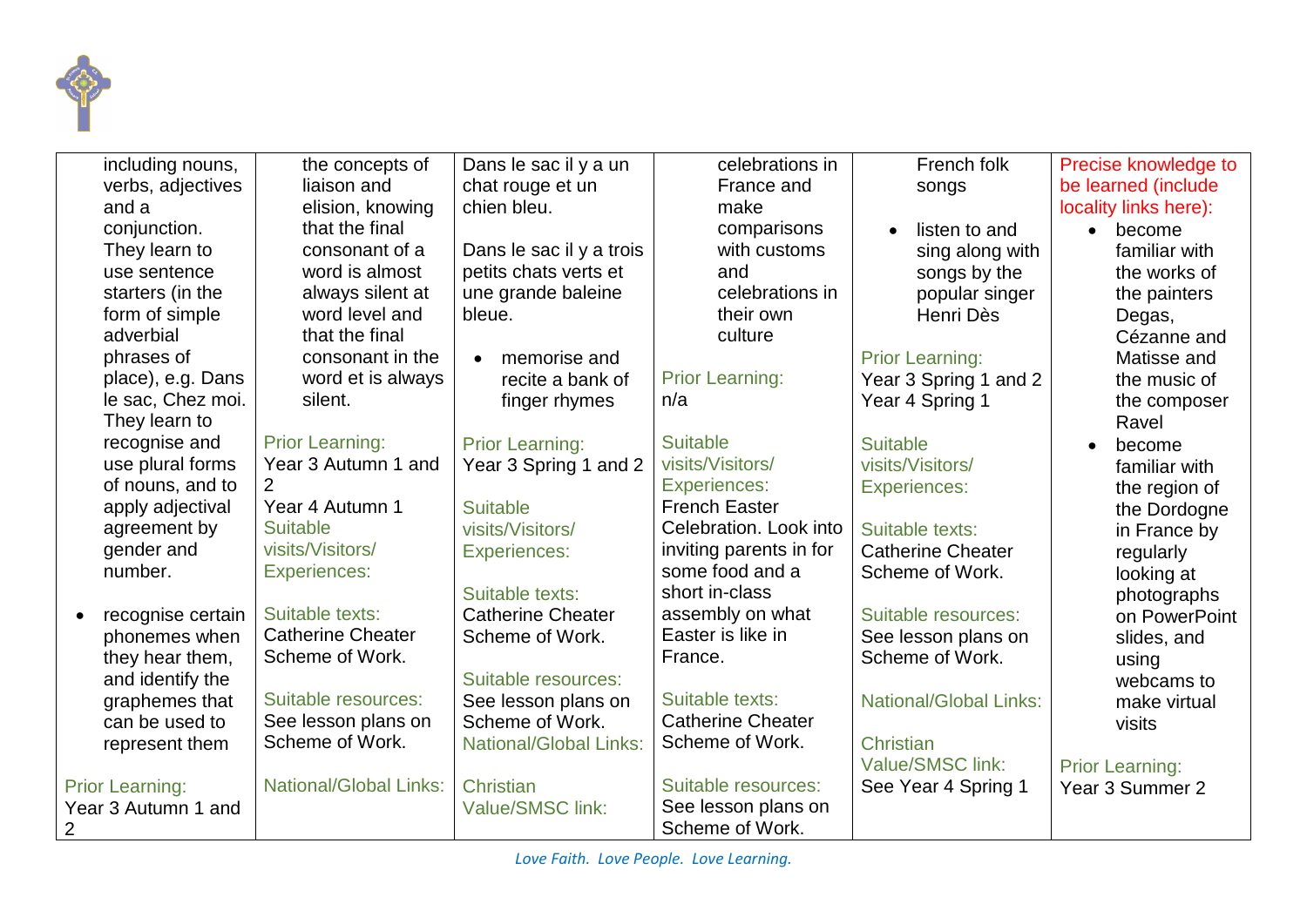

| including nouns,       | the concepts of               | Dans le sac il y a un         | celebrations in          | French folk                   | Precise knowledge to   |
|------------------------|-------------------------------|-------------------------------|--------------------------|-------------------------------|------------------------|
| verbs, adjectives      | liaison and                   | chat rouge et un              | France and               | songs                         | be learned (include    |
| and a                  | elision, knowing              | chien bleu.                   | make                     |                               | locality links here):  |
| conjunction.           | that the final                |                               | comparisons              | listen to and<br>$\bullet$    | become<br>$\bullet$    |
| They learn to          | consonant of a                | Dans le sac il y a trois      | with customs             | sing along with               | familiar with          |
| use sentence           | word is almost                | petits chats verts et         | and                      | songs by the                  | the works of           |
| starters (in the       | always silent at              | une grande baleine            | celebrations in          | popular singer                | the painters           |
| form of simple         | word level and                | bleue.                        | their own                | Henri Dès                     | Degas,                 |
| adverbial              | that the final                |                               | culture                  |                               | Cézanne and            |
| phrases of             | consonant in the              | memorise and<br>$\bullet$     |                          | <b>Prior Learning:</b>        | Matisse and            |
| place), e.g. Dans      | word et is always             | recite a bank of              | <b>Prior Learning:</b>   | Year 3 Spring 1 and 2         | the music of           |
| le sac, Chez moi.      | silent.                       | finger rhymes                 | n/a                      | Year 4 Spring 1               | the composer           |
| They learn to          |                               |                               |                          |                               | Ravel                  |
| recognise and          | <b>Prior Learning:</b>        | <b>Prior Learning:</b>        | <b>Suitable</b>          | <b>Suitable</b>               | become                 |
| use plural forms       | Year 3 Autumn 1 and           | Year 3 Spring 1 and 2         | visits/Visitors/         | visits/Visitors/              | familiar with          |
| of nouns, and to       | $\mathcal{P}$                 |                               | <b>Experiences:</b>      | <b>Experiences:</b>           | the region of          |
| apply adjectival       | Year 4 Autumn 1               | <b>Suitable</b>               | <b>French Easter</b>     |                               | the Dordogne           |
| agreement by           | <b>Suitable</b>               | visits/Visitors/              | Celebration. Look into   | Suitable texts:               | in France by           |
| gender and             | visits/Visitors/              | <b>Experiences:</b>           | inviting parents in for  | <b>Catherine Cheater</b>      | regularly              |
| number.                | <b>Experiences:</b>           |                               | some food and a          | Scheme of Work.               | looking at             |
|                        |                               | Suitable texts:               | short in-class           |                               | photographs            |
| recognise certain      | Suitable texts:               | <b>Catherine Cheater</b>      | assembly on what         | Suitable resources:           | on PowerPoint          |
| phonemes when          | <b>Catherine Cheater</b>      | Scheme of Work.               | Easter is like in        | See lesson plans on           | slides, and            |
| they hear them,        | Scheme of Work.               |                               | France.                  | Scheme of Work.               | using                  |
| and identify the       |                               | Suitable resources:           |                          |                               | webcams to             |
| graphemes that         | Suitable resources:           | See lesson plans on           | Suitable texts:          | <b>National/Global Links:</b> | make virtual           |
| can be used to         | See lesson plans on           | Scheme of Work.               | <b>Catherine Cheater</b> |                               | visits                 |
| represent them         | Scheme of Work.               | <b>National/Global Links:</b> | Scheme of Work.          | Christian                     |                        |
|                        |                               |                               |                          | Value/SMSC link:              | <b>Prior Learning:</b> |
| <b>Prior Learning:</b> | <b>National/Global Links:</b> | Christian                     | Suitable resources:      | See Year 4 Spring 1           | Year 3 Summer 2        |
| Year 3 Autumn 1 and    |                               | Value/SMSC link:              | See lesson plans on      |                               |                        |
| 2                      |                               |                               | Scheme of Work.          |                               |                        |